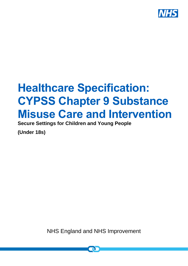

# **Healthcare Specification: CYPSS Chapter 9 Substance Misuse Care and Intervention**

**Secure Settings for Children and Young People** 

**(Under 18s)**

NHS England and NHS Improvement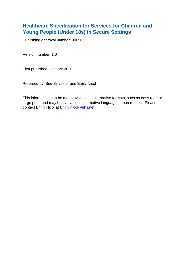## **Healthcare Specification for Services for Children and Young People (Under 18s) in Secure Settings**

Publishing approval number: 000566

Version number: 1.0

First published: January 2020

Prepared by: Sue Sylvester and Emily Nicol

This information can be made available in alternative formats, such as easy read or large print, and may be available in alternative languages, upon request. Please contact Emily Nicol at **Emily.nicol@nhs.net**.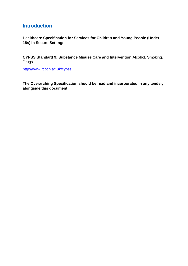## **Introduction**

**Healthcare Specification for Services for Children and Young People (Under 18s) in Secure Settings:** 

**CYPSS Standard 9: Substance Misuse Care and Intervention** Alcohol. Smoking. Drugs.

<http://www.rcpch.ac.uk/cypss>

**The Overarching Specification should be read and incorporated in any tender, alongside this document**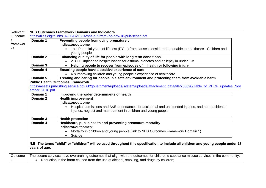| Relevant |                                                                                                                                                    | <b>NHS Outcomes Framework Domains and Indicators</b>                                                                                  |  |  |
|----------|----------------------------------------------------------------------------------------------------------------------------------------------------|---------------------------------------------------------------------------------------------------------------------------------------|--|--|
| Outcome  |                                                                                                                                                    | https://files.digital.nhs.uk/80/C2138A/nhs-out-fram-ind-nov-18-pub-sched.pdf                                                          |  |  |
| s        | Domain 1                                                                                                                                           | Preventing people from dying prematurely                                                                                              |  |  |
| framewor |                                                                                                                                                    | Indicator/outcome                                                                                                                     |  |  |
| ks       |                                                                                                                                                    | 1a.ii Potential years of life lost (PYLL) from causes considered amenable to healthcare - Children and                                |  |  |
|          |                                                                                                                                                    | young people                                                                                                                          |  |  |
|          | Domain 2                                                                                                                                           | Enhancing quality of life for people with long term conditions                                                                        |  |  |
|          |                                                                                                                                                    | • 2.3.11 Unplanned hospitalisation for asthma, diabetes and epilepsy in under 19s                                                     |  |  |
|          | Domain 3                                                                                                                                           | Helping people to recover from episodes of ill health or following injury                                                             |  |  |
|          | Domain 4                                                                                                                                           | Ensuring people have a positive experience of care                                                                                    |  |  |
|          |                                                                                                                                                    | • 4.8 Improving children and young people's experience of healthcare                                                                  |  |  |
|          | Domain 5                                                                                                                                           | Treating and caring for people in a safe environment and protecting them from avoidable harm                                          |  |  |
|          |                                                                                                                                                    | <b>Public Health Outcomes Framework</b>                                                                                               |  |  |
|          |                                                                                                                                                    | https://assets.publishing.service.gov.uk/government/uploads/system/uploads/attachment_data/file/750626/Table_of_PHOF_updates_Nov      |  |  |
|          | ember_2018.pdf                                                                                                                                     |                                                                                                                                       |  |  |
|          | Domain 1                                                                                                                                           | Improving the wider determinants of health                                                                                            |  |  |
|          | Domain 2                                                                                                                                           | <b>Health improvement</b>                                                                                                             |  |  |
|          |                                                                                                                                                    | Indicator/outcome                                                                                                                     |  |  |
|          |                                                                                                                                                    | Hospital admissions and A&E attendances for accidental and unintended injuries, and non-accidental                                    |  |  |
|          |                                                                                                                                                    | injuries, neglect and maltreatment in children and young people                                                                       |  |  |
|          | Domain 3                                                                                                                                           | <b>Health protection</b>                                                                                                              |  |  |
|          | Domain 4                                                                                                                                           | Healthcare, public health and preventing premature mortality                                                                          |  |  |
|          |                                                                                                                                                    | Indicator/outcomes:                                                                                                                   |  |  |
|          |                                                                                                                                                    | Mortality in children and young people (link to NHS Outcomes Framework Domain 1)                                                      |  |  |
|          |                                                                                                                                                    | Suicide                                                                                                                               |  |  |
|          | N.B. The terms "child" or "children" will be used throughout this specification to include all children and young people under 18<br>years of age. |                                                                                                                                       |  |  |
| Outcome  |                                                                                                                                                    | The secure services have overarching outcomes that align with the outcomes for children's substance misuse services in the community: |  |  |
| s        |                                                                                                                                                    | • Reduction in the harm caused from the use of alcohol, smoking, and drugs by children;                                               |  |  |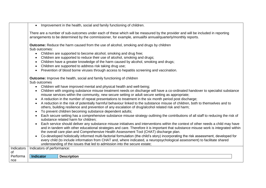• Improvement in the health, social and family functioning of children.

There are a number of sub-outcomes under each of these which will be measured by the provider and will be included in reporting arrangements to be determined by the commissioner, for example, annual/bi annual/quarterly/monthly reports.

**Outcome:** Reduce the harm caused from the use of alcohol, smoking and drugs by children Sub outcomes:

- Children are supported to become alcohol, smoking and drug free;
- Children are supported to reduce their use of alcohol, smoking and drugs;
- Children have a greater knowledge of the harm caused by alcohol, smoking and drugs:
- Children are supported to address risk taking drug use;
- Prevention of blood borne viruses through access to hepatitis screening and vaccination.

**Outcome:** Improve the health, social and family functioning of children

Sub outcomes

- Children will have improved mental and physical health and well-being;
- Children with ongoing substance misuse treatment needs on discharge will have a co-ordinated handover to specialist substance misuse services within the community, new secure setting or adult secure setting as appropriate;
- A reduction in the number of repeat presentations to treatment in the six month period post discharge;
- A reduction in the risk of potentially harmful behaviour linked to the substance misuse of children, both to themselves and to others, building resilience and prevention of any escalation of drug/alcohol related risk and harm;
- To prevent children becoming substance dependent adults;
- Each secure setting has a comprehensive substance misuse strategy outlining the contributions of all staff to reducing the risk of substance related harm for children;
- Each service should deliver any substance misuse initiatives and interventions within the context of other needs a child may have and in tandem with other educational strategies and care. Therefore it is important that substance misuse work is integrated within the overall care plan and Comprehensive Health Assessment Tool (CHAT) discharge plan.
- Co-developed holistically informed multi-factorial formulation (the child's story) incorporating the risk assessment, developed for every child (to include information from CHAT and, where indicated, a neuropsychological assessment) to facilitate shared understanding of the issues that led to admission into the secure estate;

| Indicators | Indicators of performance: |                    |
|------------|----------------------------|--------------------|
| 0f         |                            |                    |
| Performa   | <b>Indicator</b>           | <b>Description</b> |
| $ $ nce    |                            |                    |
|            |                            |                    |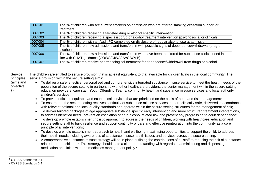|                              | D07K01                                                                                                                                                                                                                                                                                                                                                                                                                      | The % of children who are current smokers on admission who are offered smoking cessation support or<br>treatment                                                                                                                                                                                                                                            |  |
|------------------------------|-----------------------------------------------------------------------------------------------------------------------------------------------------------------------------------------------------------------------------------------------------------------------------------------------------------------------------------------------------------------------------------------------------------------------------|-------------------------------------------------------------------------------------------------------------------------------------------------------------------------------------------------------------------------------------------------------------------------------------------------------------------------------------------------------------|--|
|                              | <b>D07K02</b>                                                                                                                                                                                                                                                                                                                                                                                                               | The % of children receiving a targeted drug or alcohol specific intervention                                                                                                                                                                                                                                                                                |  |
|                              | <b>D07K03</b>                                                                                                                                                                                                                                                                                                                                                                                                               | The % of children receiving a specialist drug or alcohol treatment intervention (psychosocial or clinical)                                                                                                                                                                                                                                                  |  |
|                              | D07K04                                                                                                                                                                                                                                                                                                                                                                                                                      | The % of children with an Audit PC completed on disclosure of regular alcohol use at admission                                                                                                                                                                                                                                                              |  |
|                              | <b>D07K05</b>                                                                                                                                                                                                                                                                                                                                                                                                               | The % of children new admissions and transfers in with possible signs of dependence/withdrawal (drug or<br>alcohol)                                                                                                                                                                                                                                         |  |
|                              | <b>D07K06</b>                                                                                                                                                                                                                                                                                                                                                                                                               | The % of children new admissions and transfers in who have been monitored for substance clinical need in<br>line with CHAT guidance (COWS/CIWA/ Ar/CIWA B)                                                                                                                                                                                                  |  |
|                              | <b>D07K07</b>                                                                                                                                                                                                                                                                                                                                                                                                               | The % of children receive pharmacological treatment for dependence/withdrawal from drugs or alcohol                                                                                                                                                                                                                                                         |  |
|                              |                                                                                                                                                                                                                                                                                                                                                                                                                             |                                                                                                                                                                                                                                                                                                                                                             |  |
| Service                      |                                                                                                                                                                                                                                                                                                                                                                                                                             | The children are entitled to service provision that is at least equivalent to that available for children living in the local community. The                                                                                                                                                                                                                |  |
| principles                   | service provision within the secure setting aims:                                                                                                                                                                                                                                                                                                                                                                           |                                                                                                                                                                                                                                                                                                                                                             |  |
| (aims and<br>objective<br>s) | To deliver a safe, effective, personalised and comprehensive integrated substance misuse service to meet the health needs of the<br>population of the secure setting in partnership with other healthcare providers, the senior management within the secure setting,<br>education providers, care staff, Youth Offending Teams, community health and substance misuse services and local authority<br>children's services; |                                                                                                                                                                                                                                                                                                                                                             |  |
|                              | To provide efficient, equitable and economical services that are prioritised on the basis of need and risk management;                                                                                                                                                                                                                                                                                                      |                                                                                                                                                                                                                                                                                                                                                             |  |
|                              |                                                                                                                                                                                                                                                                                                                                                                                                                             | To ensure that the secure setting receives continuity of substance misuse services that are clinically safe, delivered in accordance<br>with relevant national and local quality standards and operate within the secure setting structures for the management of risk;                                                                                     |  |
|                              |                                                                                                                                                                                                                                                                                                                                                                                                                             | To deliver tailored packages of age appropriate substance specific early intervention and more structured treatment interventions,<br>to address identified need, prevent an escalation of drug/alcohol related risk and prevent any progression to adult dependency;                                                                                       |  |
|                              |                                                                                                                                                                                                                                                                                                                                                                                                                             | To develop a whole establishment holistic approach to address the needs of children, working with healthcare, education and<br>secure setting staff to build resilience and support continuity of care and effective reintegration into the community as a core<br>principle of all interventions;                                                          |  |
|                              |                                                                                                                                                                                                                                                                                                                                                                                                                             | To develop a whole establishment approach to health and wellbeing, maximising opportunities to support the child, to address<br>their health needs including awareness of substance misuse health issues and services across the secure setting.                                                                                                            |  |
|                              |                                                                                                                                                                                                                                                                                                                                                                                                                             | A comprehensive substance misuse strategy will be in place outlining the contributions of all staff to reducing the risk of substance<br>related harm to children <sup>1</sup> . This strategy should state a clear understanding with regards to administering and dispensing<br>medication and link in with the medicines management policy. <sup>2</sup> |  |

 $\overline{a}$ <sup>1</sup> CYPSS Standards 9.1

<sup>2</sup> CYPSS Standards 6.4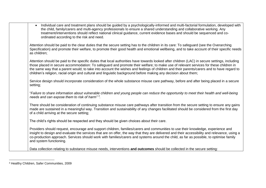| Individual care and treatment plans should be guided by a psychologically-informed and multi-factorial formulation, developed with<br>$\bullet$<br>the child, family/carers and multi-agency professionals to ensure a shared understanding and collaborative working. Any<br>treatment/interventions should reflect national clinical guidance, current evidence bases and should be sequenced and co-<br>ordinated according to the risk and need.                                                                                                   |
|--------------------------------------------------------------------------------------------------------------------------------------------------------------------------------------------------------------------------------------------------------------------------------------------------------------------------------------------------------------------------------------------------------------------------------------------------------------------------------------------------------------------------------------------------------|
| Attention should be paid to the clear duties that the secure setting has to the children in its care: To safeguard (see the Overarching<br>Specification) and promote their welfare, to promote their good health and emotional wellbeing, and to take account of their specific needs<br>as children;                                                                                                                                                                                                                                                 |
| Attention should be paid to the specific duties that local authorities have towards looked after children (LAC) in secure settings, including<br>those placed in secure accommodation: To safeguard and promote their welfare; to make use of relevant services for these children in<br>the same way that a parent would; to take into account the wishes and feelings of children and their parents/carers and to have regard to<br>children's religion, racial origin and cultural and linguistic background before making any decision about them; |
| Service design should incorporate consideration of the whole substance misuse care pathway, before and after being placed in a secure<br>setting;                                                                                                                                                                                                                                                                                                                                                                                                      |
| "Failure to share information about vulnerable children and young people can reduce the opportunity to meet their health and well-being<br>needs and can expose them to risk of harm" <sup>3</sup> .                                                                                                                                                                                                                                                                                                                                                   |
| There should be consideration of continuing substance misuse care pathways after transition from the secure setting to ensure any gains<br>made are sustained in a meaningful way. Transition and sustainability of any changes facilitated should be considered from the first day<br>of a child arriving at the secure setting;                                                                                                                                                                                                                      |
| The child's rights should be respected and they should be given choices about their care.                                                                                                                                                                                                                                                                                                                                                                                                                                                              |
| Providers should request, encourage and support children, families/carers and communities to use their knowledge, experience and<br>insight to design and evaluate the services that are on offer, the way that they are delivered and their accessibility and relevance, using a<br>co-production approach. Services should work with families/carers and systems around the child, as far as possible, to optimise family<br>and system functioning.                                                                                                 |
| Data collection relating to substance misuse needs, interventions and outcomes should be collected in the secure setting:                                                                                                                                                                                                                                                                                                                                                                                                                              |

 $\overline{a}$ <sup>3</sup> Healthy Children, Safer Communities, 2009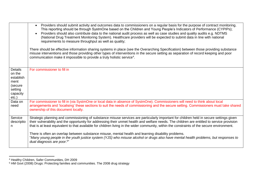|                                                                                             | Providers should submit activity and outcomes data to commissioners on a regular basis for the purpose of contract monitoring.<br>$\bullet$<br>This reporting should be through SystmOne based on the Children and Young People's Indicators of Performance (CYPIPs);<br>Providers should also contribute data to the national audit process as well as case studies and quality audits e.g. NDTMS<br>$\bullet$<br>(National Drug Treatment Monitoring System). Healthcare providers will be expected to submit data in line with national<br>requirements to measure throughput as well as quality;<br>There should be effective information sharing systems in place (see the Overarching Specification) between those providing substance<br>misuse interventions and those providing other types of interventions in the secure setting as separation of record keeping and poor<br>communication make it impossible to provide a truly holistic service <sup>4</sup> . |
|---------------------------------------------------------------------------------------------|-----------------------------------------------------------------------------------------------------------------------------------------------------------------------------------------------------------------------------------------------------------------------------------------------------------------------------------------------------------------------------------------------------------------------------------------------------------------------------------------------------------------------------------------------------------------------------------------------------------------------------------------------------------------------------------------------------------------------------------------------------------------------------------------------------------------------------------------------------------------------------------------------------------------------------------------------------------------------------|
| <b>Details</b><br>on the<br>establish<br>ment<br>(secure<br>setting<br>capacity<br>$etc.$ ) | For commissioner to fill in                                                                                                                                                                                                                                                                                                                                                                                                                                                                                                                                                                                                                                                                                                                                                                                                                                                                                                                                                 |
| Data on<br>need                                                                             | For commissioner to fill in (via SystmOne or local data in absence of SystmOne). Commissioners will need to think about local<br>arrangements and 'localising' these sections to suit the needs of commissioning and the secure setting. Commissioners must take shared<br>ownership of this document locally.                                                                                                                                                                                                                                                                                                                                                                                                                                                                                                                                                                                                                                                              |
| Service<br>descriptio<br>n.                                                                 | Strategic planning and commissioning of substance misuse services are particularly important for children held in secure settings given<br>their vulnerability and the opportunity for addressing their unmet health and welfare needs. The children are entitled to service provision<br>that is at least equivalent to that available for children living in the wider community, within the constraints of the secure environment.<br>There is often an overlap between substance misuse, mental health and learning disability problems.<br>"Many young people in the youth justice system (YJS) who misuse alcohol or drugs also have mental health problems, but responses to<br>dual diagnosis are poor. <sup>5"</sup>                                                                                                                                                                                                                                               |

 $\overline{a}$ 

<sup>4</sup> Healthy Children, Safer Communities, DH 2009

<sup>&</sup>lt;sup>5</sup> HM Govt (2008) Drugs: Protecting families and communities. The 2008 drug strategy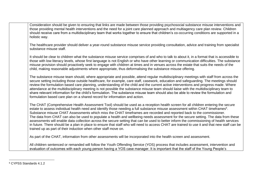| Consideration should be given to ensuring that links are made between those providing psychosocial substance misuse interventions and<br>those providing mental health interventions and the need for a joint care planned approach and multiagency care plan review. Children<br>should receive care from a multidisciplinary team that works together to ensure that children's co-occurring conditions are supported in a<br>holistic way.                                                                                                                                                                                                                                                                                                                                                                                                                                                                 |
|---------------------------------------------------------------------------------------------------------------------------------------------------------------------------------------------------------------------------------------------------------------------------------------------------------------------------------------------------------------------------------------------------------------------------------------------------------------------------------------------------------------------------------------------------------------------------------------------------------------------------------------------------------------------------------------------------------------------------------------------------------------------------------------------------------------------------------------------------------------------------------------------------------------|
| The healthcare provider should deliver a year-round substance misuse service providing consultation, advice and training from specialist<br>substance misuse staff.                                                                                                                                                                                                                                                                                                                                                                                                                                                                                                                                                                                                                                                                                                                                           |
| It should be clear to children what the substance misuse service comprises of and who to talk to about it, in a format that is accessible to<br>those with low literacy levels, whose first language is not English or who have other learning or communication difficulties. The substance<br>misuse provision should proactively seek to engage with children at times and in venues across the estate that suits the needs of the<br>child, making reasonable adjustments where appropriate, thus deformalising the substance misuse offering.                                                                                                                                                                                                                                                                                                                                                             |
| The substance misuse team should, where appropriate and possible, attend regular multidisciplinary meetings with staff from across the<br>secure setting including those outside healthcare, for example, care staff, casework, education and safeguarding. The meetings should<br>review the formulation based care planning, understanding of the child and the current active interventions and progress made. Where<br>attendance at the multidisciplinary meeting is not possible the substance misuse team should liaise with the multidisciplinary team to<br>share relevant information for the child's formulation. The substance misuse team should also be able to review the formulation and<br>formulation based care plan on a shared record for information and action.                                                                                                                        |
| The CHAT (Comprehensive Health Assessment Tool) should be used as a reception health screen for all children entering the secure<br>estate to assess individual health need and identify those needing a full substance misuse assessment within CHAT timeframes <sup>6</sup> .<br>Substance misuse CHAT Assessments which miss the CHAT timeframes are recorded and reported back to the commissioner.<br>The data from CHAT can also be used to populate a health and wellbeing needs assessment for the secure setting. The data from these<br>assessments will enable data collection across the secure setting that can be used to better inform the commissioning of health services<br>in future. There should be a plan in place to ensure that staff who will need to access CHAT are trained to use it and that new staff can be<br>trained up as part of their induction when other staff move on. |
| As part of the CHAT, information from other assessments will be incorporated into the health screen and assessment.                                                                                                                                                                                                                                                                                                                                                                                                                                                                                                                                                                                                                                                                                                                                                                                           |
| All children sentenced or remanded will follow the Youth Offending Service (YOS) process that includes assessment, intervention and<br>evaluation of outcomes with each young person having a YOS case manager. It is important that the staff of the Young People's                                                                                                                                                                                                                                                                                                                                                                                                                                                                                                                                                                                                                                          |

 $\overline{a}$ <sup>6</sup> CYPSS Standards 4.1.2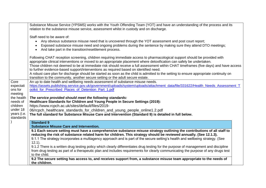|                                         | Substance Misuse Service (YPSMS) works with the Youth Offending Team (YOT) and have an understanding of the process and its<br>relation to the substance misuse service, assessment whilst in custody and on discharge.                                                                                                                                                                                                                                                                                                                                                                                                                                                                                             |
|-----------------------------------------|---------------------------------------------------------------------------------------------------------------------------------------------------------------------------------------------------------------------------------------------------------------------------------------------------------------------------------------------------------------------------------------------------------------------------------------------------------------------------------------------------------------------------------------------------------------------------------------------------------------------------------------------------------------------------------------------------------------------|
|                                         | Staff need to be aware of:<br>Any obvious substance misuse need that is uncovered through the YOT assessment and post court report;<br>$\bullet$<br>Exposed substance misuse need and ongoing problems during the sentence by making sure they attend DTO meetings;<br>$\bullet$<br>And take part in the transition/resettlement process.<br>$\bullet$                                                                                                                                                                                                                                                                                                                                                              |
|                                         | Following CHAT reception screening, children requiring immediate access to pharmacological support should be provided with<br>appropriate clinical interventions or moved to an appropriate placement where detoxification can safely be undertaken.<br>Those children not deemed to be at immediate risk should receive a full assessment within CHAT timeframes (five days) and have access<br>to further evidence-based support/interventions as required based on identified need.<br>A robust care plan for discharge should be started as soon as the child is admitted to the setting to ensure appropriate continuity on<br>transition to the community, another secure setting or the adult secure estate. |
| Core<br>expectati<br>ons for<br>meeting | An up to date health and wellbeing needs assessment of substance misuse needs.<br>https://assets.publishing.service.gov.uk/government/uploads/system/uploads/attachment_data/file/331622/Health_Needs_Assessment_T<br>oolkit for Prescribed Places of Detention Part 1.pdf                                                                                                                                                                                                                                                                                                                                                                                                                                          |
| the health<br>needs of<br>children      | The service provided should meet the following standards:<br>Healthcare Standards for Children and Young People in Secure Settings (2019):<br>https://www.rcpch.ac.uk/sites/default/files/2019-                                                                                                                                                                                                                                                                                                                                                                                                                                                                                                                     |
| under 18<br>years (i.e.<br>standards    | 06/rcpch_healthcare_standards_for_children_and_young_people_online1.2.pdf<br>The full standard for Substance Misuse Care and Intervention (Standard 9) is detailed in full below.<br><b>Standard 9</b>                                                                                                                                                                                                                                                                                                                                                                                                                                                                                                              |
|                                         | <b>Substance Misuse Care and Intervention.</b>                                                                                                                                                                                                                                                                                                                                                                                                                                                                                                                                                                                                                                                                      |
|                                         | 9.1 Each secure setting must have a comprehensive substance misuse strategy outlining the contributions of all staff to<br>reducing the risk of substance related harm for children. This strategy should be reviewed annually. (See 12.1.3).<br>9.1.1 The strategy incorporates a multiagency approach and is part of the secure setting's health and wellbeing strategy. (See<br>$12.1$ ).                                                                                                                                                                                                                                                                                                                        |
|                                         | 9.1.2 There is a written drug testing policy which clearly differentiates drug testing for the purpose of management and discipline<br>from drug testing as part of a therapeutic plan and includes requirements for clearly communicating the purpose of any drugs test<br>to the child.                                                                                                                                                                                                                                                                                                                                                                                                                           |
|                                         | 9.2 The secure setting has access to, and receives support from, a substance misuse team appropriate to the needs of<br>the children.                                                                                                                                                                                                                                                                                                                                                                                                                                                                                                                                                                               |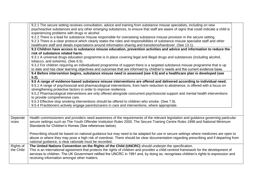|                        | 9.2.1 The secure setting receives consultation, advice and training from substance misuse specialists, including on new<br>psychoactive substances and any other emerging substances, to ensure that staff are aware of signs that could indicate a child is<br>experiencing problems with drugs or alcohol.<br>9.2.2 There is a lead for substance misuse responsible for overseeing substance misuse provision in the secure setting.<br>9.2.3 There is a clear protocol which clearly states the roles and responsibilities of substance misuse specialist staff and other<br>healthcare staff and details expectations around information sharing and transitions/handover. (See 13.1).<br>9.3 Children have access to substance misuse education, prevention activities and advice and information to reduce the<br>risk of substance related harm.<br>9.3.1 A universal drugs education programme is in place covering legal and illegal drugs and substances (including alcohol,<br>tobacco, and solvents). (See 6.5).<br>9.3.2 For children requiring an individualised programme of support there is a targeted substance misuse programme that is up<br>to date and has clear learning objectives and outcomes that are informed by children's needs and the current evidence base.<br>9.4 Before intervention begins, substance misuse need is assessed (see 4.5) and a healthcare plan is developed (see<br>$5.2$ ).<br>9.5 A range of evidence-based substance misuse interventions are offered and delivered according to individual need.<br>9.5.1 A range of psychosocial and pharmacological interventions, from harm reduction to abstinence, is offered with a focus on<br>strengthening protective factors in order to improve resilience.<br>9.5.2 Pharmacological interventions are only offered alongside concurrent psychosocial support and mental health interventions<br>to provide comprehensive care.<br>9.5.3 Effective stop smoking interventions should be offered to children who smoke. (See 7.9).<br>9.5.4 Practitioners actively engage parents/carers in care and interventions, where appropriate. |  |
|------------------------|------------------------------------------------------------------------------------------------------------------------------------------------------------------------------------------------------------------------------------------------------------------------------------------------------------------------------------------------------------------------------------------------------------------------------------------------------------------------------------------------------------------------------------------------------------------------------------------------------------------------------------------------------------------------------------------------------------------------------------------------------------------------------------------------------------------------------------------------------------------------------------------------------------------------------------------------------------------------------------------------------------------------------------------------------------------------------------------------------------------------------------------------------------------------------------------------------------------------------------------------------------------------------------------------------------------------------------------------------------------------------------------------------------------------------------------------------------------------------------------------------------------------------------------------------------------------------------------------------------------------------------------------------------------------------------------------------------------------------------------------------------------------------------------------------------------------------------------------------------------------------------------------------------------------------------------------------------------------------------------------------------------------------------------------------------------------------------------------------------------------------------------|--|
| Depende<br>ncies       | Health commissioners and providers need awareness of the requirements of the relevant legislation and guidance governing particular<br>secure settings such as The Youth Offender Institution Rules 2000, The Secure Training Centre Rules 1998 and National Minimum<br>Standards for Children's Homes (See references below).<br>Prescribing should be based on national guidance but may need to be adapted for use in secure settings where medicines are open to<br>abuse or where they may pose a high risk of overdose. There should be clear documentation regarding prescribing and if departing from<br>national guidance, a clear rationale must be recorded.                                                                                                                                                                                                                                                                                                                                                                                                                                                                                                                                                                                                                                                                                                                                                                                                                                                                                                                                                                                                                                                                                                                                                                                                                                                                                                                                                                                                                                                                  |  |
| Rights of<br>the Child | The United Nations Convention on the Rights of the Child (UNCRC) should underpin the specification.<br>This is an international agreement that protects the rights of children and provides a child-centred framework for the development of<br>services to children. The UK Government ratified the UNCRC in 1991 and, by doing so, recognises children's rights to expression and<br>receiving information amongst other matters.                                                                                                                                                                                                                                                                                                                                                                                                                                                                                                                                                                                                                                                                                                                                                                                                                                                                                                                                                                                                                                                                                                                                                                                                                                                                                                                                                                                                                                                                                                                                                                                                                                                                                                      |  |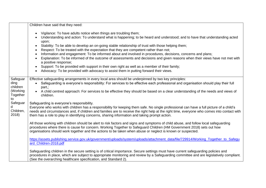|                                                            | Children have said that they need:                                                                                                                                                                                                                                                                                                                                                                                                                                                                                                                                                                                                                                                                                                                                                                                                                                                                                                                   |
|------------------------------------------------------------|------------------------------------------------------------------------------------------------------------------------------------------------------------------------------------------------------------------------------------------------------------------------------------------------------------------------------------------------------------------------------------------------------------------------------------------------------------------------------------------------------------------------------------------------------------------------------------------------------------------------------------------------------------------------------------------------------------------------------------------------------------------------------------------------------------------------------------------------------------------------------------------------------------------------------------------------------|
|                                                            | Vigilance: To have adults notice when things are troubling them;<br>$\bullet$<br>Understanding and action: To understand what is happening; to be heard and understood; and to have that understanding acted<br>upon;<br>Stability: To be able to develop an on-going stable relationship of trust with those helping them;<br>$\bullet$<br>Respect: To be treated with the expectation that they are competent rather than not;<br>$\bullet$<br>Information and engagement: To be informed about and involved in procedures, decisions, concerns and plans;<br>$\bullet$<br>Explanation: To be informed of the outcome of assessments and decisions and given reasons when their views have not met with<br>a positive response;<br>Support: To be provided with support in their own right as well as a member of their family;<br>$\bullet$<br>Advocacy: To be provided with advocacy to assist them in putting forward their views.<br>$\bullet$ |
| Safeguar<br>ding<br>children<br>(Working<br>Together<br>to | Effective safeguarding arrangements in every local area should be underpinned by two key principles:<br>Safeguarding is everyone's responsibility: For services to be effective each professional and organisation should play their full<br>part,;<br>A child centred approach: For services to be effective they should be based on a clear understanding of the needs and views of<br>children.                                                                                                                                                                                                                                                                                                                                                                                                                                                                                                                                                   |
| Safeguar<br>Children,<br>2018                              | Safeguarding is everyone's responsibility.<br>Everyone who works with children has a responsibility for keeping them safe. No single professional can have a full picture of a child's<br>needs and circumstances and, if children and families are to receive the right help at the right time, everyone who comes into contact with<br>them has a role to play in identifying concerns, sharing information and taking prompt action.<br>All those working with children should be alert to risk factors and signs and symptoms of child abuse, and follow local safeguarding                                                                                                                                                                                                                                                                                                                                                                      |
|                                                            | procedures where there is cause for concern. Working Together to Safeguard Children (HM Government 2018) sets out how<br>organisations should work together and the actions to be taken when abuse or neglect is known or suspected.                                                                                                                                                                                                                                                                                                                                                                                                                                                                                                                                                                                                                                                                                                                 |
|                                                            | https://assets.publishing.service.gov.uk/government/uploads/system/uploads/attachment_data/file/729914/Working_Together_to_Safegu<br>ard_Children-2018.pdf                                                                                                                                                                                                                                                                                                                                                                                                                                                                                                                                                                                                                                                                                                                                                                                           |
|                                                            | Safeguarding children in the secure setting is of critical importance. Secure settings must have current safeguarding policies and<br>procedures in place, which are subject to appropriate monitoring and review by a Safeguarding committee and are legislatively compliant.<br>(See the overarching healthcare specification, and Standard 2).                                                                                                                                                                                                                                                                                                                                                                                                                                                                                                                                                                                                    |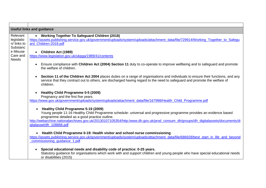|                                                  | <b>Useful links and guidance</b>                                                                                                                                                                                                                                                                                                                                             |
|--------------------------------------------------|------------------------------------------------------------------------------------------------------------------------------------------------------------------------------------------------------------------------------------------------------------------------------------------------------------------------------------------------------------------------------|
| Relevant<br>legislatio<br>n/ links to            | • Working Together To Safeguard Children (2018)<br>https://assets.publishing.service.gov.uk/government/uploads/system/uploads/attachment_data/file/729914/Working_Together_to_Safegu<br>ard Children-2018.pdf                                                                                                                                                                |
| Substanc<br>e Misuse<br>Care and<br><b>Needs</b> | • Children Act (1989)<br>https://www.legislation.gov.uk/ukpga/1989/41/contents                                                                                                                                                                                                                                                                                               |
|                                                  | Ensure compliance with Children Act (2004) Section 11 duty to co-operate to improve wellbeing and to safeguard and promote<br>the welfare of children.                                                                                                                                                                                                                       |
|                                                  | Section 11 of the Children Act 2004 places duties on a range of organisations and individuals to ensure their functions, and any<br>$\bullet$<br>service that they contract out to others, are discharged having regard to the need to safeguard and promote the welfare of<br>children.                                                                                     |
|                                                  | Healthy Child Programme 0-5 (2009)<br>Pregnancy and the first five years<br>https://www.gov.uk/government/uploads/system/uploads/attachment data/file/167998/Health Child Programme.pdf                                                                                                                                                                                      |
|                                                  | Healthy Child Programme 5-19 (2009)<br>Young people 11-16 Healthy Child Programme schedule- universal and progressive programme provides an evidence based<br>programme detailed as a good practice outline.<br>http://webarchive.nationalarchives.gov.uk/20130107105354/http:/www.dh.gov.uk/prod_consum_dh/groups/dh_digitalassets/documents/di<br>gitalasset/dh_108866.pdf |
|                                                  | Health Child Programme 0-19: Health visitor and school nurse commissioning<br>https://assets.publishing.service.gov.uk/government/uploads/system/uploads/attachment_data/file/686928/best_start_in_life_and_beyond<br>commissioning_guidance_1.pdf                                                                                                                           |
|                                                  | Special educational needs and disability code of practice: 0-25 years.<br>Statutory guidance for organisations which work with and support children and young people who have special educational needs<br>or disabilities (2015)                                                                                                                                            |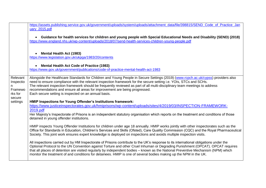|                                                       | https://assets.publishing.service.gov.uk/government/uploads/system/uploads/attachment_data/file/398815/SEND_Code_of_Practice_Jan<br>uary_2015.pdf                                                                                                                                                                                                                                                                                                                                                                                |
|-------------------------------------------------------|----------------------------------------------------------------------------------------------------------------------------------------------------------------------------------------------------------------------------------------------------------------------------------------------------------------------------------------------------------------------------------------------------------------------------------------------------------------------------------------------------------------------------------|
|                                                       | Guidance for health services for children and young people with Special Educational Needs and Disability (SEND) (2018)<br>$\bullet$<br>https://www.england.nhs.uk/wp-content/uploads/2018/07/send-health-services-children-young-people.pdf                                                                                                                                                                                                                                                                                      |
|                                                       | <b>Mental Health Act (1983)</b><br>$\bullet$<br>https://www.legislation.gov.uk/ukpga/1983/20/contents                                                                                                                                                                                                                                                                                                                                                                                                                            |
|                                                       | <b>Mental Health Act Code of Practice (1983)</b><br>$\bullet$<br>https://www.gov.uk/government/publications/code-of-practice-mental-health-act-1983                                                                                                                                                                                                                                                                                                                                                                              |
| Relevant<br>Inspectio<br>Framewo<br>rks for<br>secure | Alongside the Healthcare Standards for Children and Young People in Secure Settings (2019) (www.rcpch.ac.uk/cypss) providers also<br>need to ensure compliance with the relevant inspection framework for the secure setting i.e. YOIs, STCs and SCHs.<br>The relevant inspection framework should be frequently reviewed as part of all multi-disciplinary team meetings to address<br>recommendations and ensure all areas for improvement are being progressed.<br>Each secure setting is inspected on an annual basis.       |
| settings                                              | HMIP Inspections for Young Offender's Institutions framework:<br>https://www.justiceinspectorates.gov.uk/hmiprisons/wp-content/uploads/sites/4/2019/03/INSPECTION-FRAMEWORK-<br>2019.pdf<br>Her Majesty's Inspectorate of Prisons is an independent statutory organisation which reports on the treatment and conditions of those<br>detained in young offender institutions.                                                                                                                                                    |
|                                                       | HMIP inspects Young Offender Institutions for children under age 18 annually. HMIP works jointly with other inspectorates such as the<br>Office for Standards in Education, Children's Services and Skills (Ofsted), Care Quality Commission (CQC) and the Royal Pharmaceutical<br>Society. This joint work ensures expert knowledge is deployed on inspections and avoids multiple inspection visits.                                                                                                                           |
|                                                       | All inspections carried out by HM Inspectorate of Prisons contribute to the UK's response to its international obligations under the<br>Optional Protocol to the UN Convention against Torture and other Cruel Inhuman or Degrading Punishment (OPCAT). OPCAT requires<br>that all places of detention are visited regularly by independent bodies - known as the National Preventive Mechanism (NPM) which<br>monitor the treatment of and conditions for detainees. HMIP is one of several bodies making up the NPM in the UK. |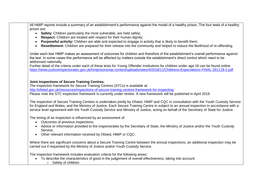All HMIP reports include a summary of an establishment's performance against the model of a healthy prison. The four tests of a healthy prison are:

- **Safety**: Children particularly the most vulnerable, are held safely;
- **Respect:** Children are treated with respect for their human dignity;
- **Purposeful activity:** Children are able and expected to engage in activity that is likely to benefit them;
- **Resettlement:** Children are prepared for their release into the community and helped to reduce the likelihood of re-offending.

Under each test HMIP makes an assessment of outcomes for children and therefore of the establishment's overall performance against the test. In some cases this performance will be affected by matters outside the establishment's direct control which need to be addressed nationally.

Further detail of the criteria under each of these tests for Young Offender Institutions for children under age 18 can be found online. <https://www.justiceinspectorates.gov.uk/hmiprisons/wp-content/uploads/sites/4/2018/11/Childrens-Expectations-FINAL-261118-2.pdf>

#### **Joint Inspections of Secure Training Centres.**

The inspection framework for Secure Training Centres (STCs) is available at: <http://ofsted.gov.uk/resources/inspections-of-secure-training-centres-framework-for-inspecting> Please note the STC inspection framework is currently under review. A new framework will be published in April 2019.

The inspection of Secure Training Centres is undertaken jointly by Ofsted, HMIP and CQC in consultation with the Youth Custody Service for England and Wales, and the Ministry of Justice. Each Secure Training Centre in subject to an annual inspection in accordance with a service level agreement with the Youth Custody Service and Ministry of Justice, acting on behalf of the Secretary of State for Justice.

The timing of an inspection is influenced by an assessment of:

- Outcomes of previous inspections;
- Advice or information provided to the inspectorates by the Secretary of State, the Ministry of Justice and/or the Youth Custody Service;
- Other relevant information received by Ofsted, HMIP or CQC.

Where there are significant concerns about a Secure Training Centre between the annual inspections, an additional inspection may be carried out if requested by the Ministry of Justice and/or Youth Custody Service.

The inspection framework includes evaluation criteria for the following areas::

- To describe the characteristics of good in the judgement of overall effectiveness, taking into account:
	- o Safety of children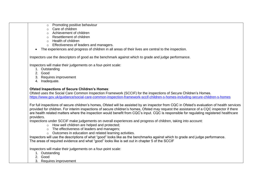| Promoting positive behaviour |
|------------------------------|
|                              |

- o Care of children
- o Achievement of children
- o Resettlement of children
- o Health of children
- o Effectiveness of leaders and managers.
- The experiences and progress of children in all areas of their lives are central to the inspection.

Inspectors use the descriptors of good as the benchmark against which to grade and judge performance.

Inspectors will make their judgements on a four-point scale:

- 1. Outstanding
- 2. Good
- 3. Requires improvement
- 4. Inadequate.

### **Ofsted Inspections of Secure Children's Homes**:

Ofsted uses the Social Care Common Inspection Framework (SCCIF) for the inspections of Secure Children's Homes. <https://www.gov.uk/guidance/social-care-common-inspection-framework-sccif-children-s-homes-including-secure-children-s-homes>

For full inspections of secure children's homes, Ofsted will be assisted by an inspector from CQC in Ofsted's evaluation of health services provided for children. For interim inspections of secure children's homes, Ofsted may request the assistance of a CQC inspector if there are health related matters where the inspection would benefit from CQC's input. CQC is responsible for regulating registered healthcare providers.

Inspections under SCCIF make judgements on overall experiences and progress of children, taking into account:

- o How well children are helped and protected;
- o The effectiveness of leaders and managers;
- o Outcomes in education and related learning activities.

Inspectors will use the descriptions of what "good" looks like as the benchmarks against which to grade and judge performance. The areas of required evidence and what "good" looks like is set out in chapter 5 of the SCCIF

Inspectors will make their judgements on a four-point scale:

- 1. Outstanding
- 2. Good
- 3. Requires improvement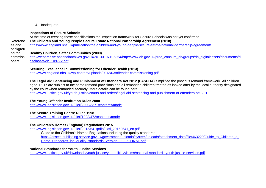|          | 4. Inadequate.                                                                                                                           |  |  |  |  |  |  |
|----------|------------------------------------------------------------------------------------------------------------------------------------------|--|--|--|--|--|--|
|          | <b>Inspections of Secure Schools</b>                                                                                                     |  |  |  |  |  |  |
|          | At the time of creating these specifications the inspection framework for Secure Schools was not yet confirmed.                          |  |  |  |  |  |  |
| Referenc | The Children and Young People Secure Estate National Partnership Agreement (2018)                                                        |  |  |  |  |  |  |
| es and   | https://www.england.nhs.uk/publication/the-children-and-young-people-secure-estate-national-partnership-agreement/                       |  |  |  |  |  |  |
| backgrou |                                                                                                                                          |  |  |  |  |  |  |
| nd for   | <b>Healthy Children, Safer Communities (2009)</b>                                                                                        |  |  |  |  |  |  |
| commissi | http://webarchive.nationalarchives.gov.uk/20130107105354/http://www.dh.gov.uk/prod_consum_dh/groups/dh_digitalassets/documents/di        |  |  |  |  |  |  |
| oners    | gitalasset/dh_109772.pdf                                                                                                                 |  |  |  |  |  |  |
|          | Securing Excellence in Commissioning for Offender Health (2013)                                                                          |  |  |  |  |  |  |
|          | http://www.england.nhs.uk/wp-content/uploads/2013/03/offender-commissioning.pdf                                                          |  |  |  |  |  |  |
|          |                                                                                                                                          |  |  |  |  |  |  |
|          | The Legal Aid Sentencing and Punishment of Offenders Act 2012 (LASPOA) simplified the previous remand framework. All children            |  |  |  |  |  |  |
|          | aged 12-17 are subject to the same remand provisions and all remanded children treated as looked after by the local authority designated |  |  |  |  |  |  |
|          | by the court when remanded securely. More details can be found here:                                                                     |  |  |  |  |  |  |
|          | http://www.justice.gov.uk/youth-justice/courts-and-orders/legal-aid-sentencing-and-punishment-of-offenders-act-2012                      |  |  |  |  |  |  |
|          | The Young Offender Institution Rules 2000                                                                                                |  |  |  |  |  |  |
|          | http://www.legislation.gov.uk/uksi/2000/3371/contents/made                                                                               |  |  |  |  |  |  |
|          |                                                                                                                                          |  |  |  |  |  |  |
|          | The Secure Training Centre Rules 1998                                                                                                    |  |  |  |  |  |  |
|          | http://www.legislation.gov.uk/uksi/1998/472/contents/made                                                                                |  |  |  |  |  |  |
|          |                                                                                                                                          |  |  |  |  |  |  |
|          | The Children's Homes (England) Regulations 2015                                                                                          |  |  |  |  |  |  |
|          | http://www.legislation.gov.uk/uksi/2015/541/pdfs/uksi_20150541_en.pdf                                                                    |  |  |  |  |  |  |
|          | Guide to the Children's Homes Regulations including the quality standards                                                                |  |  |  |  |  |  |
|          | https://assets.publishing.service.gov.uk/government/uploads/system/uploads/attachment_data/file/463220/Guide_to_Children_s               |  |  |  |  |  |  |
|          | Home Standards inc quality standards Version 1.17 FINAL.pdf                                                                              |  |  |  |  |  |  |
|          | <b>National Standards for Youth Justice Services</b>                                                                                     |  |  |  |  |  |  |
|          | http://www.justice.gov.uk/downloads/youth-justice/yjb-toolkits/victims/national-standards-youth-justice-services.pdf                     |  |  |  |  |  |  |
|          |                                                                                                                                          |  |  |  |  |  |  |